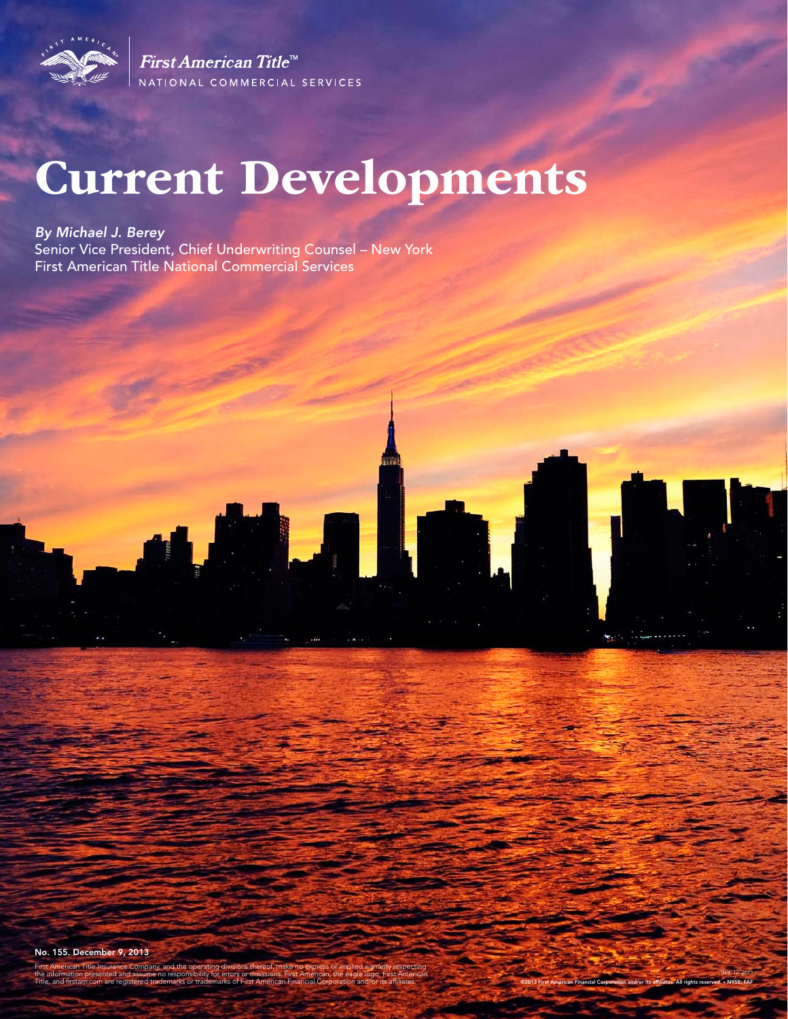

First American Title<sup>™</sup> NATIONAL COMMERCIAL SERVICES

# Current Developments

*By Michael J. Berey* 

Senior Vice President, Chief Underwriting Counsel – New York First American Title National Commercial Services



erican Title Insurance Company, and the the information presented and assume no responsibility for errors or omissions. First American, the eagle logo, First American Title, and firstam.com are registered trademarks or trademarks of First American Financial Corporation and/or its affiliates.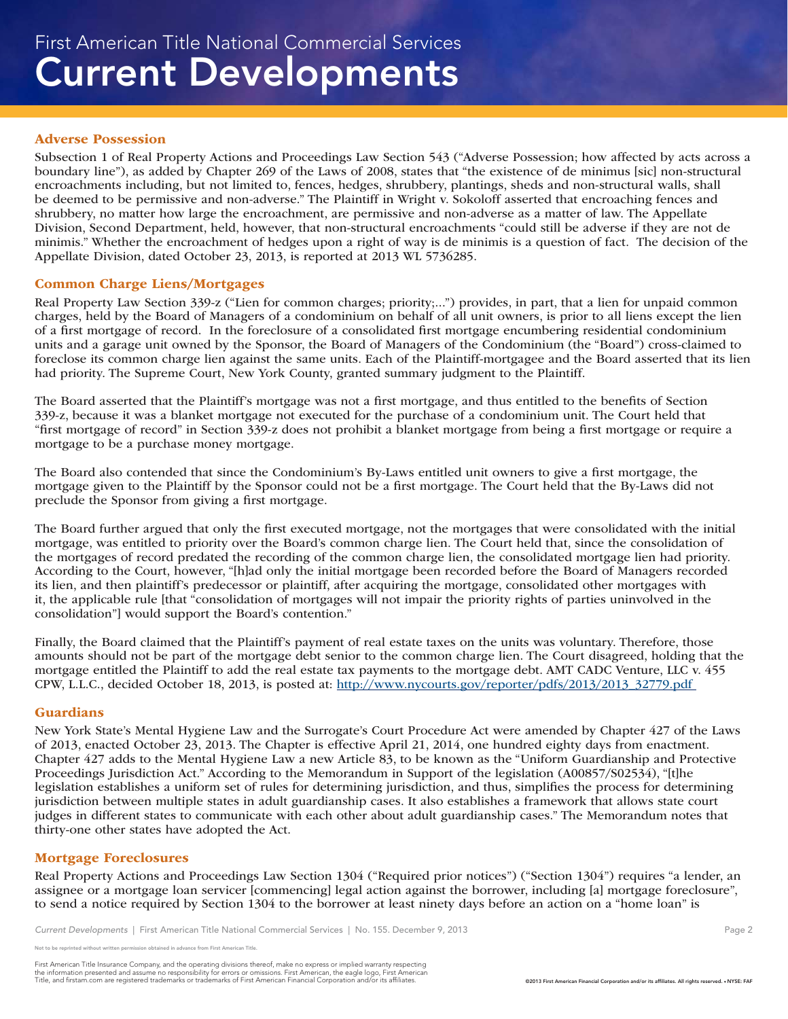#### Adverse Possession

Subsection 1 of Real Property Actions and Proceedings Law Section 543 ("Adverse Possession; how affected by acts across a boundary line"), as added by Chapter 269 of the Laws of 2008, states that "the existence of de minimus [sic] non-structural encroachments including, but not limited to, fences, hedges, shrubbery, plantings, sheds and non-structural walls, shall be deemed to be permissive and non-adverse." The Plaintiff in Wright v. Sokoloff asserted that encroaching fences and shrubbery, no matter how large the encroachment, are permissive and non-adverse as a matter of law. The Appellate Division, Second Department, held, however, that non-structural encroachments "could still be adverse if they are not de minimis." Whether the encroachment of hedges upon a right of way is de minimis is a question of fact. The decision of the Appellate Division, dated October 23, 2013, is reported at 2013 WL 5736285.

#### Common Charge Liens/Mortgages

Real Property Law Section 339-z ("Lien for common charges; priority;...") provides, in part, that a lien for unpaid common charges, held by the Board of Managers of a condominium on behalf of all unit owners, is prior to all liens except the lien of a first mortgage of record. In the foreclosure of a consolidated first mortgage encumbering residential condominium units and a garage unit owned by the Sponsor, the Board of Managers of the Condominium (the "Board") cross-claimed to foreclose its common charge lien against the same units. Each of the Plaintiff-mortgagee and the Board asserted that its lien had priority. The Supreme Court, New York County, granted summary judgment to the Plaintiff.

The Board asserted that the Plaintiff's mortgage was not a first mortgage, and thus entitled to the benefits of Section 339-z, because it was a blanket mortgage not executed for the purchase of a condominium unit. The Court held that "first mortgage of record" in Section 339-z does not prohibit a blanket mortgage from being a first mortgage or require a mortgage to be a purchase money mortgage.

The Board also contended that since the Condominium's By-Laws entitled unit owners to give a first mortgage, the mortgage given to the Plaintiff by the Sponsor could not be a first mortgage. The Court held that the By-Laws did not preclude the Sponsor from giving a first mortgage.

The Board further argued that only the first executed mortgage, not the mortgages that were consolidated with the initial mortgage, was entitled to priority over the Board's common charge lien. The Court held that, since the consolidation of the mortgages of record predated the recording of the common charge lien, the consolidated mortgage lien had priority. According to the Court, however, "[h]ad only the initial mortgage been recorded before the Board of Managers recorded its lien, and then plaintiff's predecessor or plaintiff, after acquiring the mortgage, consolidated other mortgages with it, the applicable rule [that "consolidation of mortgages will not impair the priority rights of parties uninvolved in the consolidation"] would support the Board's contention."

Finally, the Board claimed that the Plaintiff's payment of real estate taxes on the units was voluntary. Therefore, those amounts should not be part of the mortgage debt senior to the common charge lien. The Court disagreed, holding that the mortgage entitled the Plaintiff to add the real estate tax payments to the mortgage debt. AMT CADC Venture, LLC v. 455 CPW, L.L.C., decided October 18, 2013, is posted at: http://www.nycourts.gov/reporter/pdfs/2013/2013\_32779.pdf

#### Guardians

New York State's Mental Hygiene Law and the Surrogate's Court Procedure Act were amended by Chapter 427 of the Laws of 2013, enacted October 23, 2013. The Chapter is effective April 21, 2014, one hundred eighty days from enactment. Chapter 427 adds to the Mental Hygiene Law a new Article 83, to be known as the "Uniform Guardianship and Protective Proceedings Jurisdiction Act." According to the Memorandum in Support of the legislation (A00857/S02534), "[t]he legislation establishes a uniform set of rules for determining jurisdiction, and thus, simplifies the process for determining jurisdiction between multiple states in adult guardianship cases. It also establishes a framework that allows state court judges in different states to communicate with each other about adult guardianship cases." The Memorandum notes that thirty-one other states have adopted the Act.

## Mortgage Foreclosures

Real Property Actions and Proceedings Law Section 1304 ("Required prior notices") ("Section 1304") requires "a lender, an assignee or a mortgage loan servicer [commencing] legal action against the borrower, including [a] mortgage foreclosure", to send a notice required by Section 1304 to the borrower at least ninety days before an action on a "home loan" is

Not to be reprinted without written permission obtained in advance from First American Title.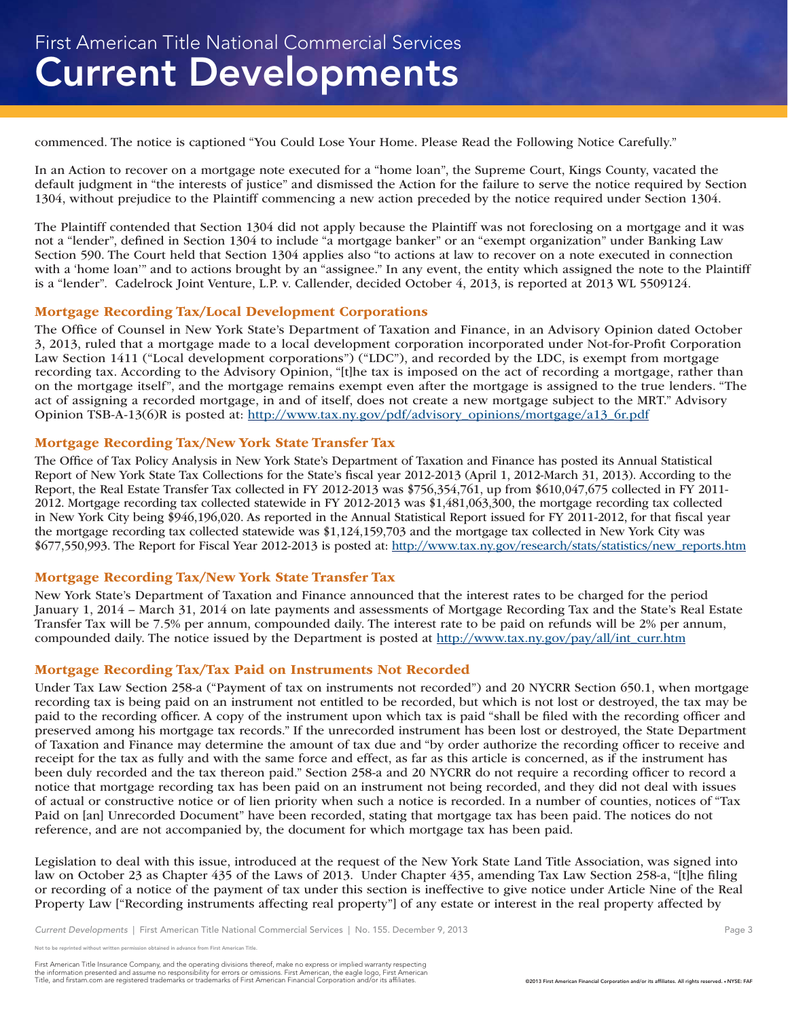commenced. The notice is captioned "You Could Lose Your Home. Please Read the Following Notice Carefully."

In an Action to recover on a mortgage note executed for a "home loan", the Supreme Court, Kings County, vacated the default judgment in "the interests of justice" and dismissed the Action for the failure to serve the notice required by Section 1304, without prejudice to the Plaintiff commencing a new action preceded by the notice required under Section 1304.

The Plaintiff contended that Section 1304 did not apply because the Plaintiff was not foreclosing on a mortgage and it was not a "lender", defined in Section 1304 to include "a mortgage banker" or an "exempt organization" under Banking Law Section 590. The Court held that Section 1304 applies also "to actions at law to recover on a note executed in connection with a 'home loan'" and to actions brought by an "assignee." In any event, the entity which assigned the note to the Plaintiff is a "lender". Cadelrock Joint Venture, L.P. v. Callender, decided October 4, 2013, is reported at 2013 WL 5509124.

## Mortgage Recording Tax/Local Development Corporations

The Office of Counsel in New York State's Department of Taxation and Finance, in an Advisory Opinion dated October 3, 2013, ruled that a mortgage made to a local development corporation incorporated under Not-for-Profit Corporation Law Section 1411 ("Local development corporations") ("LDC"), and recorded by the LDC, is exempt from mortgage recording tax. According to the Advisory Opinion, "[t]he tax is imposed on the act of recording a mortgage, rather than on the mortgage itself", and the mortgage remains exempt even after the mortgage is assigned to the true lenders. "The act of assigning a recorded mortgage, in and of itself, does not create a new mortgage subject to the MRT." Advisory Opinion TSB-A-13(6)R is posted at: http://www.tax.ny.gov/pdf/advisory\_opinions/mortgage/a13\_6r.pdf

## Mortgage Recording Tax/New York State Transfer Tax

The Office of Tax Policy Analysis in New York State's Department of Taxation and Finance has posted its Annual Statistical Report of New York State Tax Collections for the State's fiscal year 2012-2013 (April 1, 2012-March 31, 2013). According to the Report, the Real Estate Transfer Tax collected in FY 2012-2013 was \$756,354,761, up from \$610,047,675 collected in FY 2011- 2012. Mortgage recording tax collected statewide in FY 2012-2013 was \$1,481,063,300, the mortgage recording tax collected in New York City being \$946,196,020. As reported in the Annual Statistical Report issued for FY 2011-2012, for that fiscal year the mortgage recording tax collected statewide was \$1,124,159,703 and the mortgage tax collected in New York City was \$677,550,993. The Report for Fiscal Year 2012-2013 is posted at: http://www.tax.ny.gov/research/stats/statistics/new\_reports.htm

### Mortgage Recording Tax/New York State Transfer Tax

New York State's Department of Taxation and Finance announced that the interest rates to be charged for the period January 1, 2014 – March 31, 2014 on late payments and assessments of Mortgage Recording Tax and the State's Real Estate Transfer Tax will be 7.5% per annum, compounded daily. The interest rate to be paid on refunds will be 2% per annum, compounded daily. The notice issued by the Department is posted at http://www.tax.ny.gov/pay/all/int\_curr.htm

## Mortgage Recording Tax/Tax Paid on Instruments Not Recorded

Under Tax Law Section 258-a ("Payment of tax on instruments not recorded") and 20 NYCRR Section 650.1, when mortgage recording tax is being paid on an instrument not entitled to be recorded, but which is not lost or destroyed, the tax may be paid to the recording officer. A copy of the instrument upon which tax is paid "shall be filed with the recording officer and preserved among his mortgage tax records." If the unrecorded instrument has been lost or destroyed, the State Department of Taxation and Finance may determine the amount of tax due and "by order authorize the recording officer to receive and receipt for the tax as fully and with the same force and effect, as far as this article is concerned, as if the instrument has been duly recorded and the tax thereon paid." Section 258-a and 20 NYCRR do not require a recording officer to record a notice that mortgage recording tax has been paid on an instrument not being recorded, and they did not deal with issues of actual or constructive notice or of lien priority when such a notice is recorded. In a number of counties, notices of "Tax Paid on [an] Unrecorded Document" have been recorded, stating that mortgage tax has been paid. The notices do not reference, and are not accompanied by, the document for which mortgage tax has been paid.

Legislation to deal with this issue, introduced at the request of the New York State Land Title Association, was signed into law on October 23 as Chapter 435 of the Laws of 2013. Under Chapter 435, amending Tax Law Section 258-a, "[t]he filing or recording of a notice of the payment of tax under this section is ineffective to give notice under Article Nine of the Real Property Law ["Recording instruments affecting real property"] of any estate or interest in the real property affected by

Not to be reprinted without written permission obtained in advance from First American Title.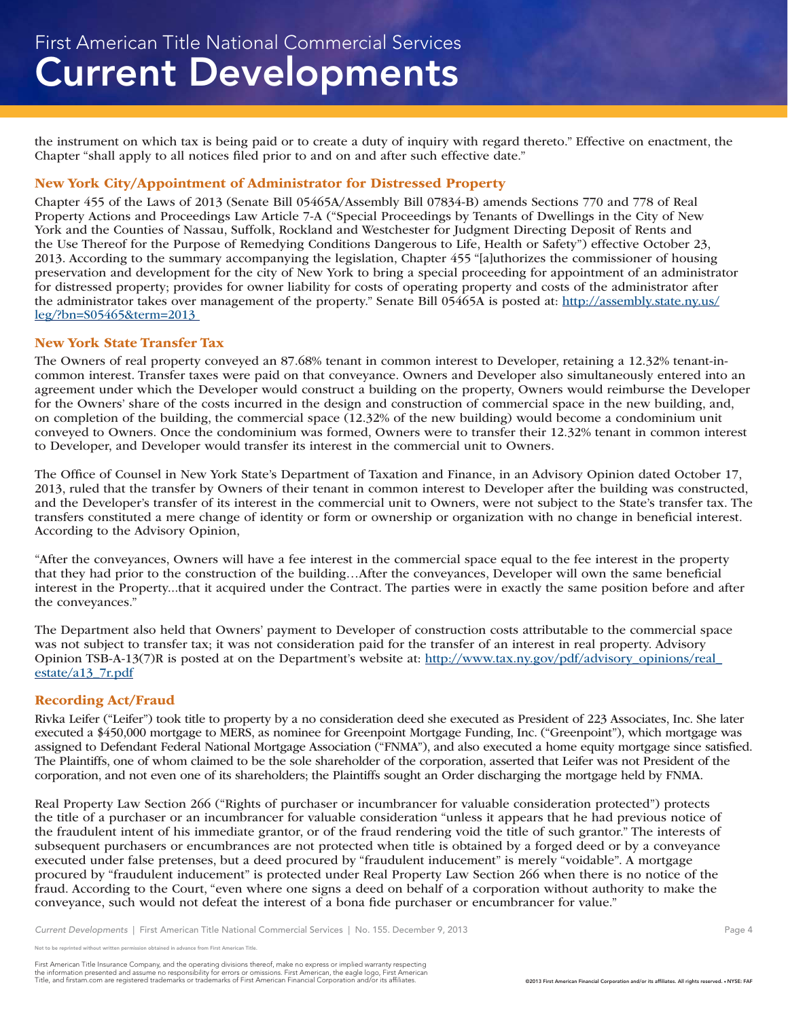the instrument on which tax is being paid or to create a duty of inquiry with regard thereto." Effective on enactment, the Chapter "shall apply to all notices filed prior to and on and after such effective date."

## New York City/Appointment of Administrator for Distressed Property

Chapter 455 of the Laws of 2013 (Senate Bill 05465A/Assembly Bill 07834-B) amends Sections 770 and 778 of Real Property Actions and Proceedings Law Article 7-A ("Special Proceedings by Tenants of Dwellings in the City of New York and the Counties of Nassau, Suffolk, Rockland and Westchester for Judgment Directing Deposit of Rents and the Use Thereof for the Purpose of Remedying Conditions Dangerous to Life, Health or Safety") effective October 23, 2013. According to the summary accompanying the legislation, Chapter 455 "[a]uthorizes the commissioner of housing preservation and development for the city of New York to bring a special proceeding for appointment of an administrator for distressed property; provides for owner liability for costs of operating property and costs of the administrator after the administrator takes over management of the property." Senate Bill 05465A is posted at: http://assembly.state.ny.us/ leg/?bn=S05465&term=2013

## New York State Transfer Tax

The Owners of real property conveyed an 87.68% tenant in common interest to Developer, retaining a 12.32% tenant-incommon interest. Transfer taxes were paid on that conveyance. Owners and Developer also simultaneously entered into an agreement under which the Developer would construct a building on the property, Owners would reimburse the Developer for the Owners' share of the costs incurred in the design and construction of commercial space in the new building, and, on completion of the building, the commercial space (12.32% of the new building) would become a condominium unit conveyed to Owners. Once the condominium was formed, Owners were to transfer their 12.32% tenant in common interest to Developer, and Developer would transfer its interest in the commercial unit to Owners.

The Office of Counsel in New York State's Department of Taxation and Finance, in an Advisory Opinion dated October 17, 2013, ruled that the transfer by Owners of their tenant in common interest to Developer after the building was constructed, and the Developer's transfer of its interest in the commercial unit to Owners, were not subject to the State's transfer tax. The transfers constituted a mere change of identity or form or ownership or organization with no change in beneficial interest. According to the Advisory Opinion,

"After the conveyances, Owners will have a fee interest in the commercial space equal to the fee interest in the property that they had prior to the construction of the building…After the conveyances, Developer will own the same beneficial interest in the Property...that it acquired under the Contract. The parties were in exactly the same position before and after the conveyances."

The Department also held that Owners' payment to Developer of construction costs attributable to the commercial space was not subject to transfer tax; it was not consideration paid for the transfer of an interest in real property. Advisory Opinion TSB-A-13(7)R is posted at on the Department's website at: http://www.tax.ny.gov/pdf/advisory\_opinions/real\_ estate/a13\_7r.pdf

### Recording Act/Fraud

Rivka Leifer ("Leifer") took title to property by a no consideration deed she executed as President of 223 Associates, Inc. She later executed a \$450,000 mortgage to MERS, as nominee for Greenpoint Mortgage Funding, Inc. ("Greenpoint"), which mortgage was assigned to Defendant Federal National Mortgage Association ("FNMA"), and also executed a home equity mortgage since satisfied. The Plaintiffs, one of whom claimed to be the sole shareholder of the corporation, asserted that Leifer was not President of the corporation, and not even one of its shareholders; the Plaintiffs sought an Order discharging the mortgage held by FNMA.

Real Property Law Section 266 ("Rights of purchaser or incumbrancer for valuable consideration protected") protects the title of a purchaser or an incumbrancer for valuable consideration "unless it appears that he had previous notice of the fraudulent intent of his immediate grantor, or of the fraud rendering void the title of such grantor." The interests of subsequent purchasers or encumbrances are not protected when title is obtained by a forged deed or by a conveyance executed under false pretenses, but a deed procured by "fraudulent inducement" is merely "voidable". A mortgage procured by "fraudulent inducement" is protected under Real Property Law Section 266 when there is no notice of the fraud. According to the Court, "even where one signs a deed on behalf of a corporation without authority to make the conveyance, such would not defeat the interest of a bona fide purchaser or encumbrancer for value."

*Current Developments* | First American Title National Commercial Services | No. 155. December 9, 2013 **Page 4** Page 4

Not to be reprinted without written permission obtained in advance from First American Title.